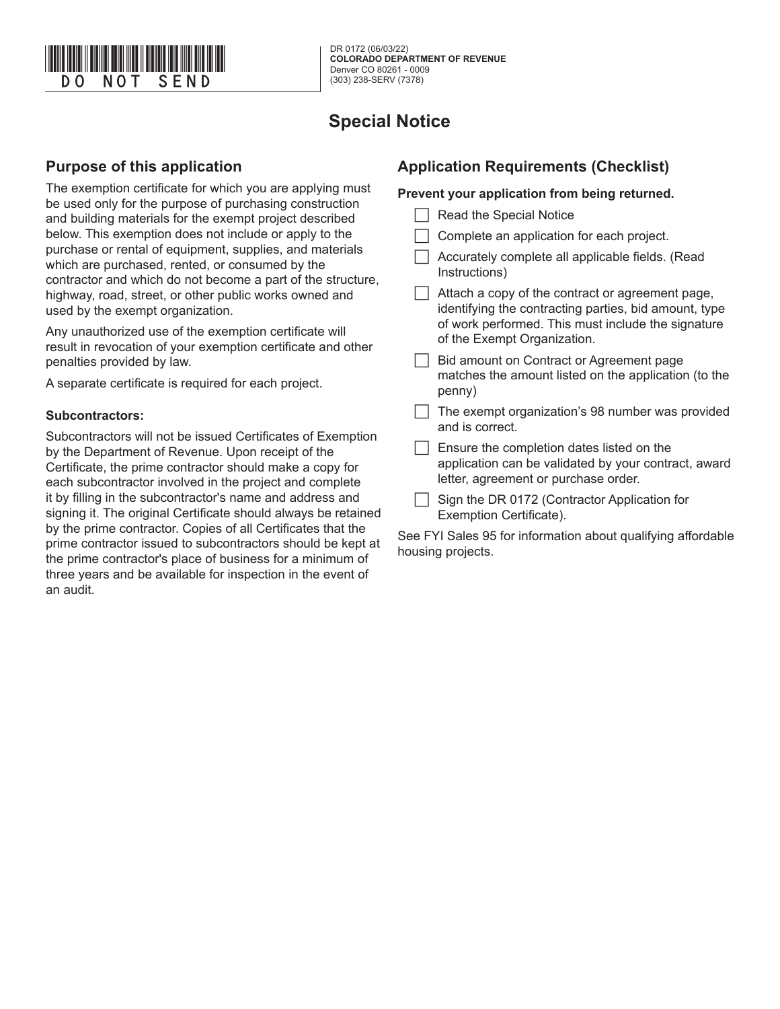

# **Special Notice**

## **Purpose of this application**

The exemption certificate for which you are applying must be used only for the purpose of purchasing construction and building materials for the exempt project described below. This exemption does not include or apply to the purchase or rental of equipment, supplies, and materials which are purchased, rented, or consumed by the contractor and which do not become a part of the structure, highway, road, street, or other public works owned and used by the exempt organization.

Any unauthorized use of the exemption certificate will result in revocation of your exemption certificate and other penalties provided by law.

A separate certificate is required for each project.

#### **Subcontractors:**

Subcontractors will not be issued Certificates of Exemption by the Department of Revenue. Upon receipt of the Certificate, the prime contractor should make a copy for each subcontractor involved in the project and complete it by filling in the subcontractor's name and address and signing it. The original Certificate should always be retained by the prime contractor. Copies of all Certificates that the prime contractor issued to subcontractors should be kept at the prime contractor's place of business for a minimum of three years and be available for inspection in the event of an audit.

## **Application Requirements (Checklist)**

#### **Prevent your application from being returned.**

- | | Read the Special Notice
- Complete an application for each project.
- Accurately complete all applicable fields. (Read Instructions)
- $\Box$  Attach a copy of the contract or agreement page, identifying the contracting parties, bid amount, type of work performed. This must include the signature of the Exempt Organization.
- Bid amount on Contract or Agreement page matches the amount listed on the application (to the penny)
- $\Box$  The exempt organization's 98 number was provided and is correct.

 $\Box$  Ensure the completion dates listed on the application can be validated by your contract, award letter, agreement or purchase order.

 $\Box$  Sign the DR 0172 (Contractor Application for Exemption Certificate).

See FYI Sales 95 for information about qualifying affordable housing projects.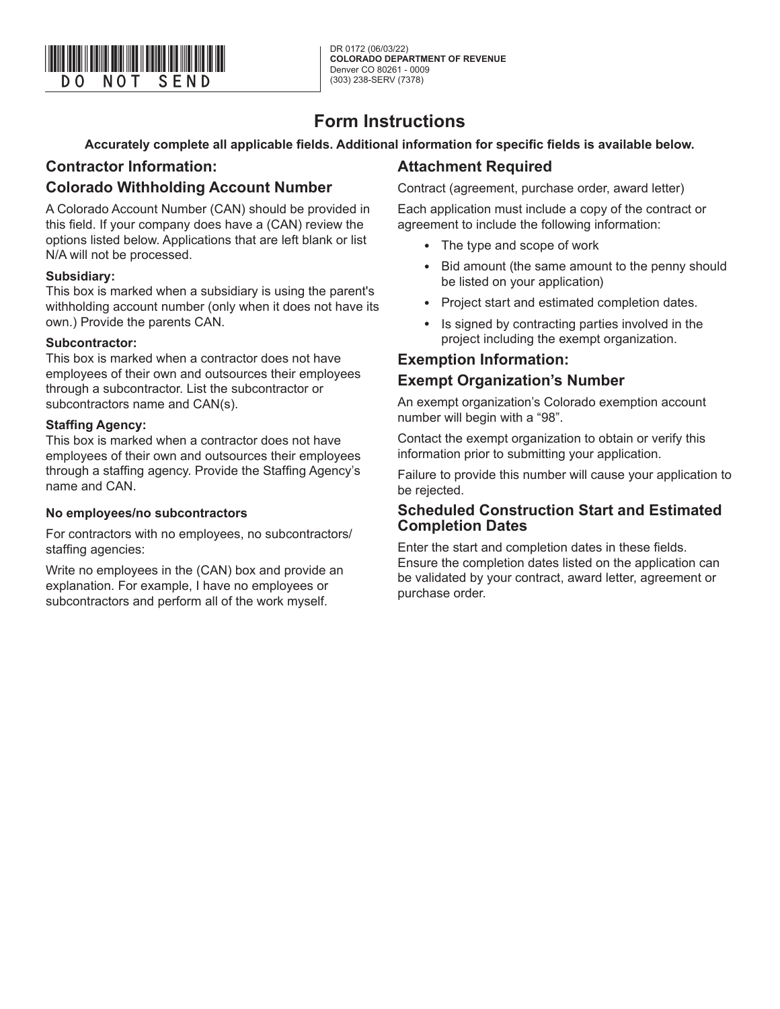

DR 0172 (06/03/22) **COLORADO DEPARTMENT OF REVENUE** Denver CO 80261 - 0009 (303) 238-SERV (7378)

## **Form Instructions**

**Accurately complete all applicable fields. Additional information for specific fields is available below.**

## **Contractor Information:**

## **Colorado Withholding Account Number**

A Colorado Account Number (CAN) should be provided in this field. If your company does have a (CAN) review the options listed below. Applications that are left blank or list N/A will not be processed.

#### **Subsidiary:**

This box is marked when a subsidiary is using the parent's withholding account number (only when it does not have its own.) Provide the parents CAN.

#### **Subcontractor:**

This box is marked when a contractor does not have employees of their own and outsources their employees through a subcontractor. List the subcontractor or subcontractors name and CAN(s).

#### **Staffing Agency:**

This box is marked when a contractor does not have employees of their own and outsources their employees through a staffing agency. Provide the Staffing Agency's name and CAN.

#### **No employees/no subcontractors**

For contractors with no employees, no subcontractors/ staffing agencies:

Write no employees in the (CAN) box and provide an explanation. For example, I have no employees or subcontractors and perform all of the work myself.

## **Attachment Required**

Contract (agreement, purchase order, award letter)

Each application must include a copy of the contract or agreement to include the following information:

- The type and scope of work
- Bid amount (the same amount to the penny should be listed on your application)
- Project start and estimated completion dates.
- Is signed by contracting parties involved in the project including the exempt organization.

## **Exemption Information: Exempt Organization's Number**

An exempt organization's Colorado exemption account number will begin with a "98".

Contact the exempt organization to obtain or verify this information prior to submitting your application.

Failure to provide this number will cause your application to be rejected.

### **Scheduled Construction Start and Estimated Completion Dates**

Enter the start and completion dates in these fields. Ensure the completion dates listed on the application can be validated by your contract, award letter, agreement or purchase order.